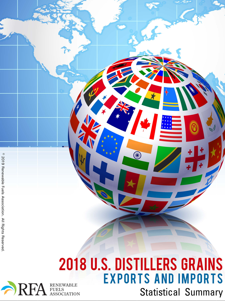### **2018 U.S. DISTILLERS GRAINS EXPORTS AND IMPORTS** RENEWABLE<br>FUELS<br>ASSOCIATION **Statistical Summary**

RF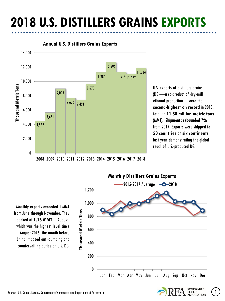# **2018 U.S. DISTILLERS GRAINS EXPORTS**



### **Annual U.S. Distillers Grains Exports**

U.S. exports of distillers grains (DG)—a co-product of dry-mill ethanol production—were the **second-highest on record** in 2018, totaling **11.88 million metric tons** (MMT). Shipments rebounded 7**%** from 2017. Exports were shipped to **50 countries** on **six continents** last year, demonstrating the global reach of U.S.-produced DG.

Monthly exports exceeded 1 MMT from June through November. They peaked at **1.16 MMT** in August, which was the highest level since August 2016, the month before China imposed anti-dumping and countervailing duties on U.S. DG.



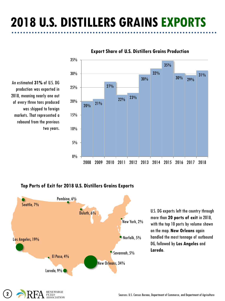# **2018 U.S. DISTILLERS GRAINS EXPORTS**



### **Export Share of U.S. Distillers Grains Production**

An estimated **31%** of U.S. DG production was exported in 2018, meaning nearly one out of every three tons produced was shipped to foreign markets. That represented a rebound from the previous two years.

### **Top Ports of Exit for 2018 U.S. Distillers Grains Exports**



U.S. DG exports left the country through more than **20 ports of exit** in 2018, with the top 10 ports by volume shown on the map. **New Orleans** again handled the most tonnage of outbound DG, followed by **Los Angeles** and **Laredo**.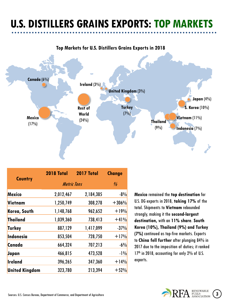## **U.S. DISTILLERS GRAINS EXPORTS: TOP MARKETS**

### **Top Markets for U.S. Distillers Grains Exports in 2018**



| <b>Country</b>        | <b>2018 Total</b>  | 2017 Total | <b>Change</b>           |
|-----------------------|--------------------|------------|-------------------------|
|                       | <b>Metric Tons</b> |            | $\frac{\theta}{\theta}$ |
| <b>Mexico</b>         | 2,012,467          | 2,184,385  | $-8%$                   |
| Vietnam               | 1,250,749          | 308,278    | $+306%$                 |
| Korea, South          | 1,148,768          | 962,652    | $+19%$                  |
| <b>Thailand</b>       | 1,039,360          | 738,413    | $+41%$                  |
| <b>Turkey</b>         | 887,129            | 1,417,099  | $-37%$                  |
| Indonesia             | 853,504            | 728,750    | $+17%$                  |
| Canada                | 664,324            | 707,213    | $-6%$                   |
| Japan                 | 466,815            | 473,528    | $-1\%$                  |
| <b>Ireland</b>        | 396,265            | 347,360    | $+14%$                  |
| <b>United Kingdom</b> | 323,780            | 213,394    | $+52%$                  |

**Mexico** remained the **top destination** for U.S. DG exports in 2018, **taking 17%** of the total. Shipments to **Vietnam** rebounded strongly, making it the **second-largest destination,** with an **11% share**. **South Korea (10%), Thailand (9%) and Turkey (7%)** continued as top-five markets. Exports to **China fell further** after plunging 84% in 2017 due to the imposition of duties; it ranked 17<sup>th</sup> in 2018, accounting for only 2% of U.S. exports.

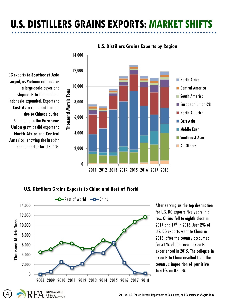## **U.S. DISTILLERS GRAINS EXPORTS: MARKET SHIFTS**



### **U.S. Distillers Grains Exports by Region**





After serving as the top destination for U.S. DG exports five years in a row, **China** fell to eighth place in 2017 and 17th in 2018. Just **2%** of U.S. DG exports went to China in 2018, after the country accounted for **51%** of the record exports experienced in 2015. The collapse in exports to China resulted from the country's imposition of **punitive tariffs** on U.S. DG.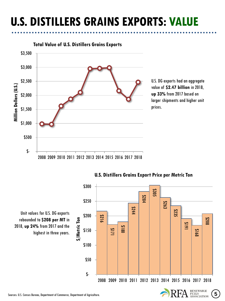## **U.S. DISTILLERS GRAINS EXPORTS: VALUE**



**Total Value of U.S. Distillers Grains Exports**

U.S. DG exports had an aggregate value of **\$2.47 billion** in 2018, **up 33%** from 2017 based on larger shipments and higher unit prices.



### **U.S. Distillers Grains Export Price per Metric Ton**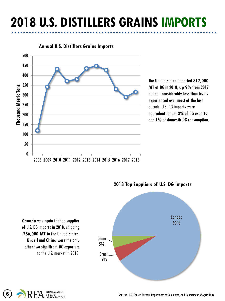# **2018 U.S. DISTILLERS GRAINS IMPORTS**



#### **Annual U.S. Distillers Grains Imports**

The United States imported **317,000 MT** of DG in 2018, **up 9%** from 2017 but still considerably less than levels experienced over most of the last decade. U.S. DG imports were equivalent to just **3%** of DG exports and **1%** of domestic DG consumption.





**2018 Top Suppliers of U.S. DG Imports** 

**Canada** was again the top supplier of U.S. DG imports in 2018, shipping **286,000 MT** to the United States. **Brazil** and **China** were the only other two significant DG exporters to the U.S. market in 2018.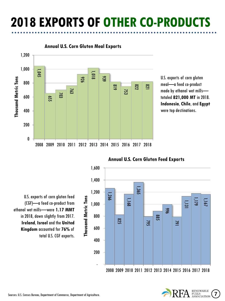# **2018 EXPORTS OF OTHER CO-PRODUCTS**



U.S. exports of corn gluten meal—a feed co-product made by ethanol wet mills totaled **821,000 MT** in 2018. **Indonesia**, **Chile**, and **Egypt** were top destinations.

U.S. exports of corn gluten feed (CGF)—a feed co-product from ethanol wet mills—were **1.17 MMT**  in 2018, down slightly from 2017. **Ireland**, **Israel** and the **United Kingdom** accounted for **76%** of total U.S. CGF exports.



### **Annual U.S. Corn Gluten Feed Exports**

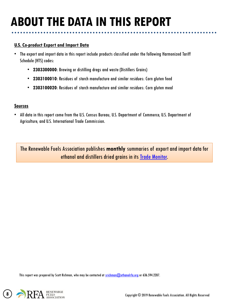## **ABOUT THE DATA IN THIS REPORT**

#### **U.S. Co-product Export and Import Data**

- The export and import data in this report include products classified under the following Harmonized Tariff Schedule (HTS) codes:
	- **2303300000**: Brewing or distilling dregs and waste (Distillers Grains)
	- **2303100010**: Residues of starch manufacture and similar residues: Corn gluten feed
	- **2303100020**: Residues of starch manufacture and similar residues: Corn gluten meal

#### **Sources**

• All data in this report come from the U.S. Census Bureau, U.S. Department of Commerce, U.S. Department of Agriculture, and U.S. International Trade Commission.

The Renewable Fuels Association publishes **monthly** summaries of export and import data for ethanol and distillers dried grains in its [Trade Monitor.](https://ethanolrfa.org/trade-monitor/)

This report was prepared by Scott Richman, who may be contacted at [srichman@ethanolrfa.org](mailto:gcooper@ethanolrfa.org) or 636.594.2287.